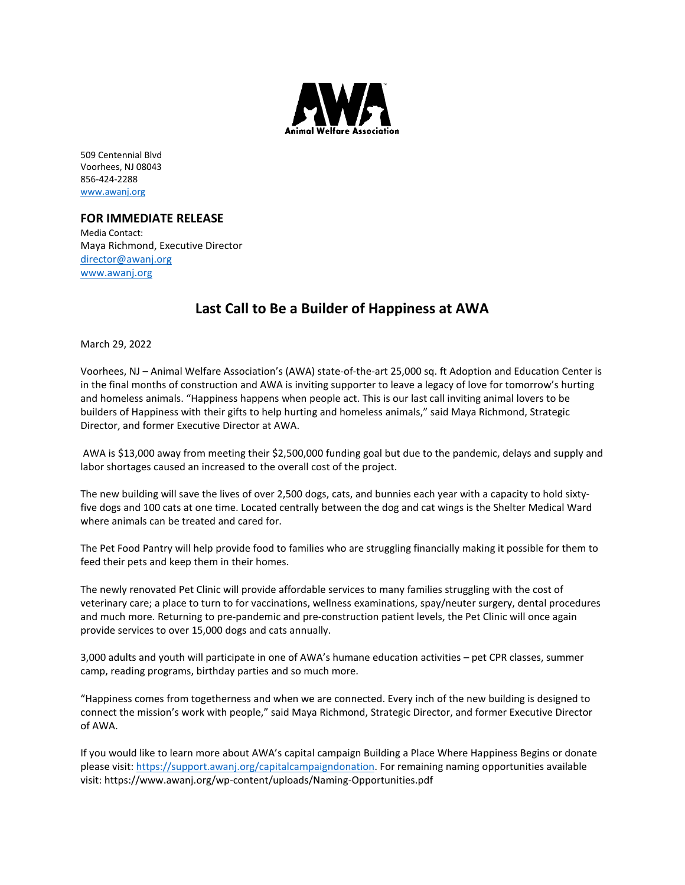

509 Centennial Blvd Voorhees, NJ 08043 856-424-2288 [www.awanj.org](http://www.awanj.org/)

## **FOR IMMEDIATE RELEASE**

Media Contact: Maya Richmond, Executive Director [director@awanj.org](mailto:director@awanj.org) www.awanj.org

## **Last Call to Be a Builder of Happiness at AWA**

March 29, 2022

Voorhees, NJ – Animal Welfare Association's (AWA) state-of-the-art 25,000 sq. ft Adoption and Education Center is in the final months of construction and AWA is inviting supporter to leave a legacy of love for tomorrow's hurting and homeless animals. "Happiness happens when people act. This is our last call inviting animal lovers to be builders of Happiness with their gifts to help hurting and homeless animals," said Maya Richmond, Strategic Director, and former Executive Director at AWA.

AWA is \$13,000 away from meeting their \$2,500,000 funding goal but due to the pandemic, delays and supply and labor shortages caused an increased to the overall cost of the project.

The new building will save the lives of over 2,500 dogs, cats, and bunnies each year with a capacity to hold sixtyfive dogs and 100 cats at one time. Located centrally between the dog and cat wings is the Shelter Medical Ward where animals can be treated and cared for.

The Pet Food Pantry will help provide food to families who are struggling financially making it possible for them to feed their pets and keep them in their homes.

The newly renovated Pet Clinic will provide affordable services to many families struggling with the cost of veterinary care; a place to turn to for vaccinations, wellness examinations, spay/neuter surgery, dental procedures and much more. Returning to pre-pandemic and pre-construction patient levels, the Pet Clinic will once again provide services to over 15,000 dogs and cats annually.

3,000 adults and youth will participate in one of AWA's humane education activities – pet CPR classes, summer camp, reading programs, birthday parties and so much more.

"Happiness comes from togetherness and when we are connected. Every inch of the new building is designed to connect the mission's work with people," said Maya Richmond, Strategic Director, and former Executive Director of AWA.

If you would like to learn more about AWA's capital campaign Building a Place Where Happiness Begins or donate please visit: [https://support.awanj.org/capitalcampaigndonation.](https://support.awanj.org/capitalcampaigndonation) For remaining naming opportunities available visit: https://www.awanj.org/wp-content/uploads/Naming-Opportunities.pdf